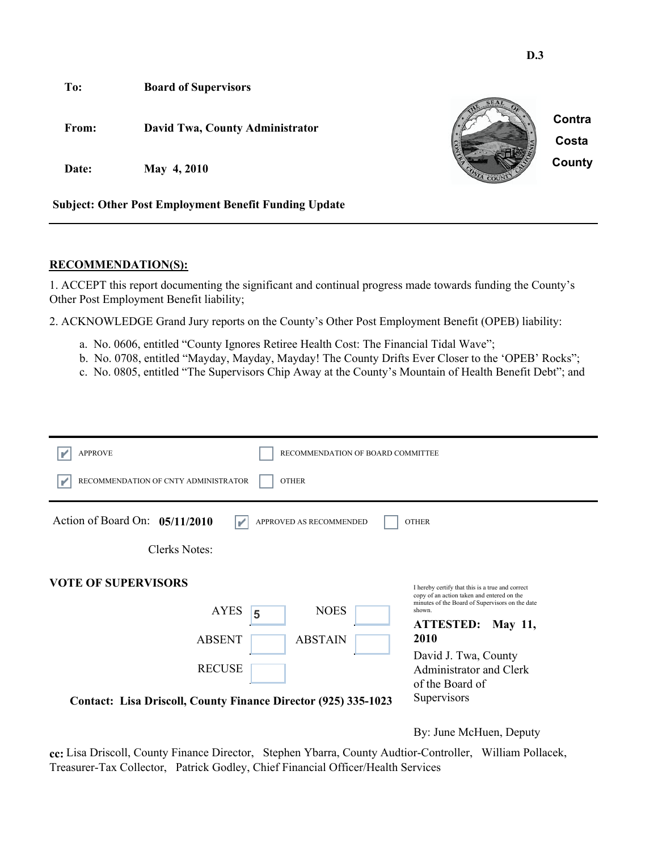

#### **RECOMMENDATION(S):**

1. ACCEPT this report documenting the significant and continual progress made towards funding the County's Other Post Employment Benefit liability;

2. ACKNOWLEDGE Grand Jury reports on the County's Other Post Employment Benefit (OPEB) liability:

- a. No. 0606, entitled "County Ignores Retiree Health Cost: The Financial Tidal Wave";
- b. No. 0708, entitled "Mayday, Mayday, Mayday! The County Drifts Ever Closer to the 'OPEB' Rocks";
- c. No. 0805, entitled "The Supervisors Chip Away at the County's Mountain of Health Benefit Debt"; and

| <b>APPROVE</b><br>RECOMMENDATION OF BOARD COMMITTEE              |                                                                                                                                                             |  |  |
|------------------------------------------------------------------|-------------------------------------------------------------------------------------------------------------------------------------------------------------|--|--|
| RECOMMENDATION OF CNTY ADMINISTRATOR<br><b>OTHER</b>             |                                                                                                                                                             |  |  |
| Action of Board On: $05/11/2010$<br>APPROVED AS RECOMMENDED<br>V | <b>OTHER</b>                                                                                                                                                |  |  |
| Clerks Notes:                                                    |                                                                                                                                                             |  |  |
| <b>VOTE OF SUPERVISORS</b><br><b>AYES</b><br><b>NOES</b>         | I hereby certify that this is a true and correct<br>copy of an action taken and entered on the<br>minutes of the Board of Supervisors on the date<br>shown. |  |  |
| 5<br><b>ABSENT</b><br><b>ABSTAIN</b>                             | <b>ATTESTED:</b><br><b>May 11,</b><br>2010                                                                                                                  |  |  |
| <b>RECUSE</b>                                                    | David J. Twa, County<br><b>Administrator and Clerk</b><br>of the Board of                                                                                   |  |  |
| Contact: Lisa Driscoll, County Finance Director (925) 335-1023   | Supervisors                                                                                                                                                 |  |  |

By: June McHuen, Deputy

**D.3**

**cc:** Lisa Driscoll, County Finance Director, Stephen Ybarra, County Audtior-Controller, William Pollacek, Treasurer-Tax Collector, Patrick Godley, Chief Financial Officer/Health Services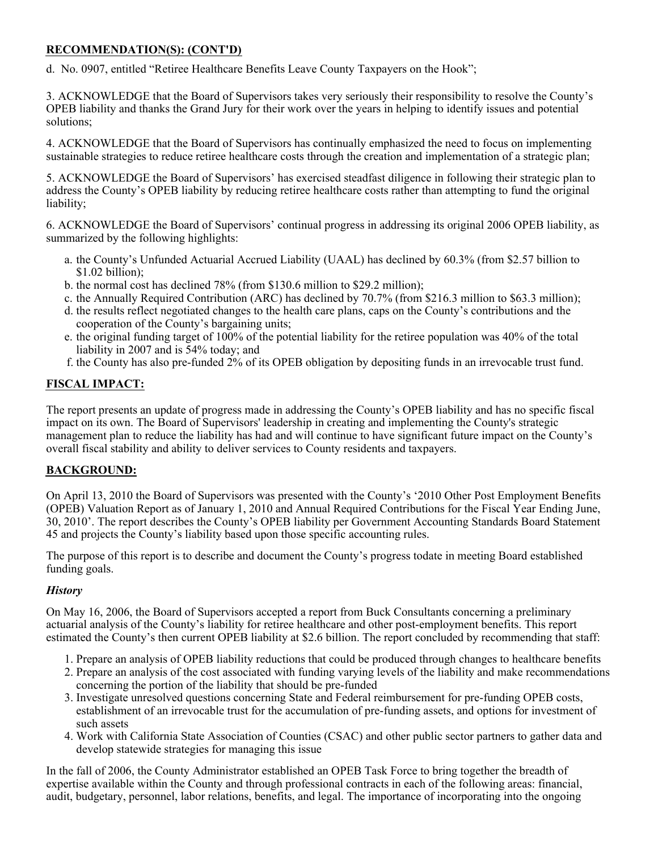# **RECOMMENDATION(S): (CONT'D)**

d. No. 0907, entitled "Retiree Healthcare Benefits Leave County Taxpayers on the Hook";

3. ACKNOWLEDGE that the Board of Supervisors takes very seriously their responsibility to resolve the County's OPEB liability and thanks the Grand Jury for their work over the years in helping to identify issues and potential solutions;

4. ACKNOWLEDGE that the Board of Supervisors has continually emphasized the need to focus on implementing sustainable strategies to reduce retiree healthcare costs through the creation and implementation of a strategic plan;

5. ACKNOWLEDGE the Board of Supervisors' has exercised steadfast diligence in following their strategic plan to address the County's OPEB liability by reducing retiree healthcare costs rather than attempting to fund the original liability;

6. ACKNOWLEDGE the Board of Supervisors' continual progress in addressing its original 2006 OPEB liability, as summarized by the following highlights:

- a. the County's Unfunded Actuarial Accrued Liability (UAAL) has declined by 60.3% (from \$2.57 billion to \$1.02 billion);
- b. the normal cost has declined 78% (from \$130.6 million to \$29.2 million);
- c. the Annually Required Contribution (ARC) has declined by 70.7% (from \$216.3 million to \$63.3 million);
- d. the results reflect negotiated changes to the health care plans, caps on the County's contributions and the cooperation of the County's bargaining units;
- e. the original funding target of 100% of the potential liability for the retiree population was 40% of the total liability in 2007 and is 54% today; and
- f. the County has also pre-funded 2% of its OPEB obligation by depositing funds in an irrevocable trust fund.

# **FISCAL IMPACT:**

The report presents an update of progress made in addressing the County's OPEB liability and has no specific fiscal impact on its own. The Board of Supervisors' leadership in creating and implementing the County's strategic management plan to reduce the liability has had and will continue to have significant future impact on the County's overall fiscal stability and ability to deliver services to County residents and taxpayers.

## **BACKGROUND:**

On April 13, 2010 the Board of Supervisors was presented with the County's '2010 Other Post Employment Benefits (OPEB) Valuation Report as of January 1, 2010 and Annual Required Contributions for the Fiscal Year Ending June, 30, 2010'. The report describes the County's OPEB liability per Government Accounting Standards Board Statement 45 and projects the County's liability based upon those specific accounting rules.

The purpose of this report is to describe and document the County's progress todate in meeting Board established funding goals.

## *History*

On May 16, 2006, the Board of Supervisors accepted a report from Buck Consultants concerning a preliminary actuarial analysis of the County's liability for retiree healthcare and other post-employment benefits. This report estimated the County's then current OPEB liability at \$2.6 billion. The report concluded by recommending that staff:

- 1. Prepare an analysis of OPEB liability reductions that could be produced through changes to healthcare benefits
- 2. Prepare an analysis of the cost associated with funding varying levels of the liability and make recommendations concerning the portion of the liability that should be pre-funded
- 3. Investigate unresolved questions concerning State and Federal reimbursement for pre-funding OPEB costs, establishment of an irrevocable trust for the accumulation of pre-funding assets, and options for investment of such assets
- 4. Work with California State Association of Counties (CSAC) and other public sector partners to gather data and develop statewide strategies for managing this issue

In the fall of 2006, the County Administrator established an OPEB Task Force to bring together the breadth of expertise available within the County and through professional contracts in each of the following areas: financial, audit, budgetary, personnel, labor relations, benefits, and legal. The importance of incorporating into the ongoing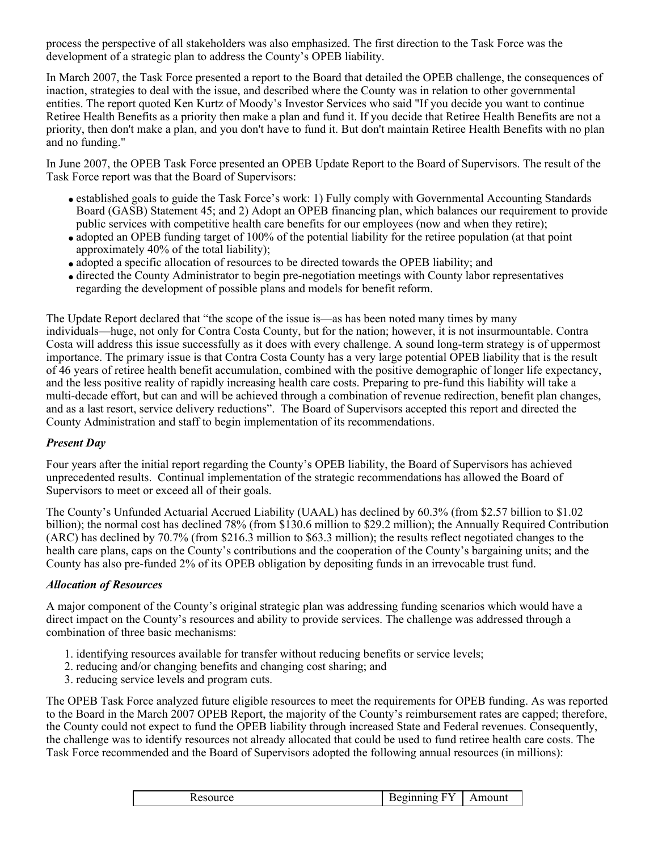process the perspective of all stakeholders was also emphasized. The first direction to the Task Force was the development of a strategic plan to address the County's OPEB liability.

In March 2007, the Task Force presented a report to the Board that detailed the OPEB challenge, the consequences of inaction, strategies to deal with the issue, and described where the County was in relation to other governmental entities. The report quoted Ken Kurtz of Moody's Investor Services who said "If you decide you want to continue Retiree Health Benefits as a priority then make a plan and fund it. If you decide that Retiree Health Benefits are not a priority, then don't make a plan, and you don't have to fund it. But don't maintain Retiree Health Benefits with no plan and no funding."

In June 2007, the OPEB Task Force presented an OPEB Update Report to the Board of Supervisors. The result of the Task Force report was that the Board of Supervisors:

- established goals to guide the Task Force's work: 1) Fully comply with Governmental Accounting Standards Board (GASB) Statement 45; and 2) Adopt an OPEB financing plan, which balances our requirement to provide public services with competitive health care benefits for our employees (now and when they retire);
- adopted an OPEB funding target of 100% of the potential liability for the retiree population (at that point approximately 40% of the total liability);
- adopted a specific allocation of resources to be directed towards the OPEB liability; and
- directed the County Administrator to begin pre-negotiation meetings with County labor representatives regarding the development of possible plans and models for benefit reform.

The Update Report declared that "the scope of the issue is—as has been noted many times by many individuals—huge, not only for Contra Costa County, but for the nation; however, it is not insurmountable. Contra Costa will address this issue successfully as it does with every challenge. A sound long-term strategy is of uppermost importance. The primary issue is that Contra Costa County has a very large potential OPEB liability that is the result of 46 years of retiree health benefit accumulation, combined with the positive demographic of longer life expectancy, and the less positive reality of rapidly increasing health care costs. Preparing to pre-fund this liability will take a multi-decade effort, but can and will be achieved through a combination of revenue redirection, benefit plan changes, and as a last resort, service delivery reductions". The Board of Supervisors accepted this report and directed the County Administration and staff to begin implementation of its recommendations.

## *Present Day*

Four years after the initial report regarding the County's OPEB liability, the Board of Supervisors has achieved unprecedented results. Continual implementation of the strategic recommendations has allowed the Board of Supervisors to meet or exceed all of their goals.

The County's Unfunded Actuarial Accrued Liability (UAAL) has declined by 60.3% (from \$2.57 billion to \$1.02 billion); the normal cost has declined 78% (from \$130.6 million to \$29.2 million); the Annually Required Contribution (ARC) has declined by 70.7% (from \$216.3 million to \$63.3 million); the results reflect negotiated changes to the health care plans, caps on the County's contributions and the cooperation of the County's bargaining units; and the County has also pre-funded 2% of its OPEB obligation by depositing funds in an irrevocable trust fund.

#### *Allocation of Resources*

A major component of the County's original strategic plan was addressing funding scenarios which would have a direct impact on the County's resources and ability to provide services. The challenge was addressed through a combination of three basic mechanisms:

- 1. identifying resources available for transfer without reducing benefits or service levels;
- 2. reducing and/or changing benefits and changing cost sharing; and
- 3. reducing service levels and program cuts.

The OPEB Task Force analyzed future eligible resources to meet the requirements for OPEB funding. As was reported to the Board in the March 2007 OPEB Report, the majority of the County's reimbursement rates are capped; therefore, the County could not expect to fund the OPEB liability through increased State and Federal revenues. Consequently, the challenge was to identify resources not already allocated that could be used to fund retiree health care costs. The Task Force recommended and the Board of Supervisors adopted the following annual resources (in millions):

|  | T T T<br>--------<br>$-12.122$<br>$\alpha$<br>$\sim$ 1110 Unit<br>.mo<br>. بې پ<br>1709 O<br>◡◟ |
|--|-------------------------------------------------------------------------------------------------|
|--|-------------------------------------------------------------------------------------------------|